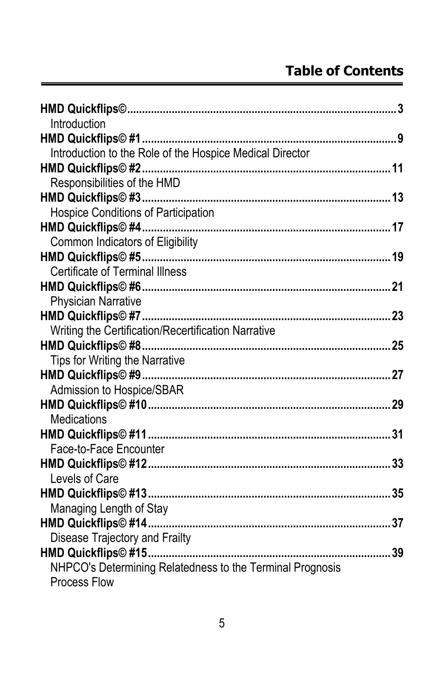## **Table of Contents**

| Introduction                                              |  |
|-----------------------------------------------------------|--|
|                                                           |  |
| Introduction to the Role of the Hospice Medical Director  |  |
|                                                           |  |
| Responsibilities of the HMD                               |  |
|                                                           |  |
| Hospice Conditions of Participation                       |  |
|                                                           |  |
| <b>Common Indicators of Eligibility</b>                   |  |
|                                                           |  |
| <b>Certificate of Terminal Illness</b>                    |  |
|                                                           |  |
| <b>Physician Narrative</b>                                |  |
|                                                           |  |
| Writing the Certification/Recertification Narrative       |  |
|                                                           |  |
| Tips for Writing the Narrative                            |  |
|                                                           |  |
| Admission to Hospice/SBAR                                 |  |
|                                                           |  |
| Medications                                               |  |
|                                                           |  |
| Face-to-Face Encounter                                    |  |
|                                                           |  |
| Levels of Care                                            |  |
|                                                           |  |
| Managing Length of Stay                                   |  |
|                                                           |  |
| Disease Trajectory and Frailty                            |  |
|                                                           |  |
| NHPCO's Determining Relatedness to the Terminal Prognosis |  |
| <b>Process Flow</b>                                       |  |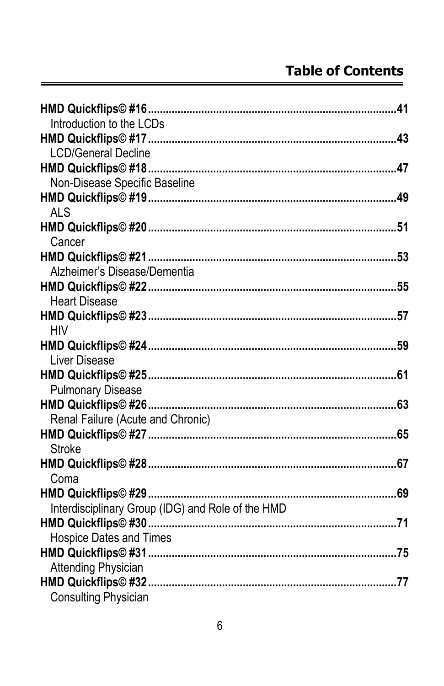| Introduction to the LCDs                          |  |
|---------------------------------------------------|--|
|                                                   |  |
|                                                   |  |
| <b>LCD/General Decline</b>                        |  |
|                                                   |  |
| Non-Disease Specific Baseline                     |  |
|                                                   |  |
| <b>ALS</b>                                        |  |
| Cancer                                            |  |
|                                                   |  |
| Alzheimer's Disease/Dementia                      |  |
|                                                   |  |
|                                                   |  |
| <b>Heart Disease</b>                              |  |
| <b>HIV</b>                                        |  |
|                                                   |  |
| <b>Liver Disease</b>                              |  |
|                                                   |  |
|                                                   |  |
| <b>Pulmonary Disease</b>                          |  |
|                                                   |  |
| Renal Failure (Acute and Chronic)                 |  |
|                                                   |  |
| <b>Stroke</b>                                     |  |
| Coma                                              |  |
|                                                   |  |
|                                                   |  |
| Interdisciplinary Group (IDG) and Role of the HMD |  |
|                                                   |  |
| <b>Hospice Dates and Times</b>                    |  |
|                                                   |  |
| <b>Attending Physician</b>                        |  |
|                                                   |  |
| <b>Consulting Physician</b>                       |  |